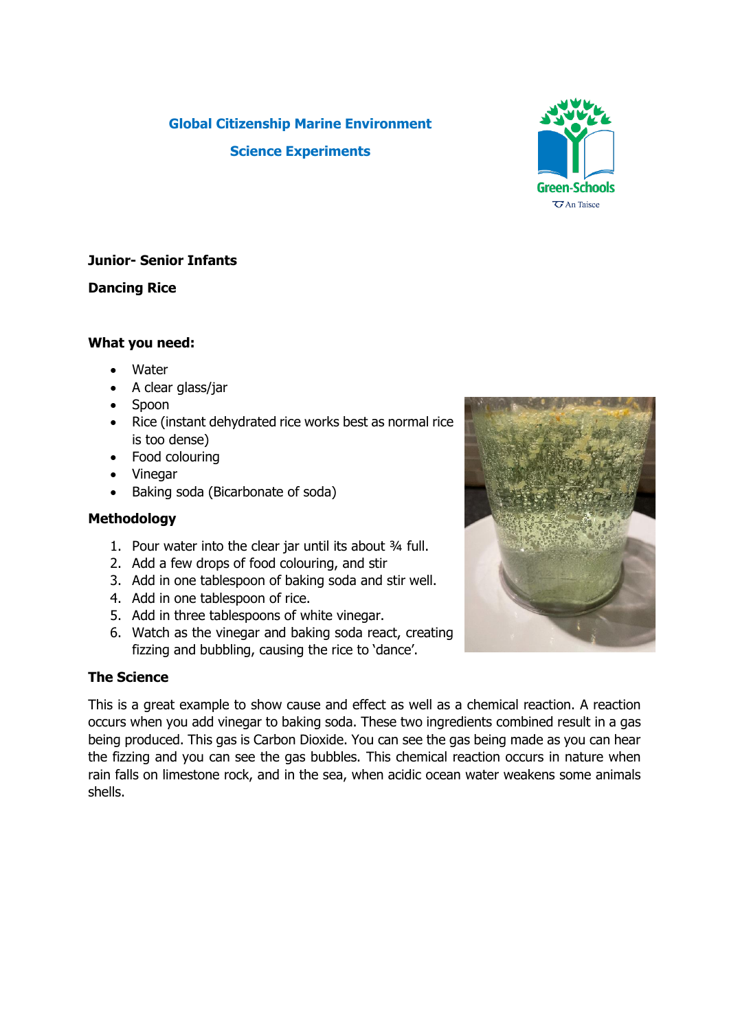# **Global Citizenship Marine Environment Science Experiments**



## **Dancing Rice**

#### **What you need:**

- Water
- A clear glass/jar
- Spoon
- Rice (instant dehydrated rice works best as normal rice is too dense)
- Food colouring
- Vinegar
- Baking soda (Bicarbonate of soda)

## **Methodology**

- 1. Pour water into the clear jar until its about ¾ full.
- 2. Add a few drops of food colouring, and stir
- 3. Add in one tablespoon of baking soda and stir well.
- 4. Add in one tablespoon of rice.
- 5. Add in three tablespoons of white vinegar.
- 6. Watch as the vinegar and baking soda react, creating fizzing and bubbling, causing the rice to 'dance'.

## **The Science**

This is a great example to show cause and effect as well as a chemical reaction. A reaction occurs when you add vinegar to baking soda. These two ingredients combined result in a gas being produced. This gas is Carbon Dioxide. You can see the gas being made as you can hear the fizzing and you can see the gas bubbles. This chemical reaction occurs in nature when rain falls on limestone rock, and in the sea, when acidic ocean water weakens some animals shells.



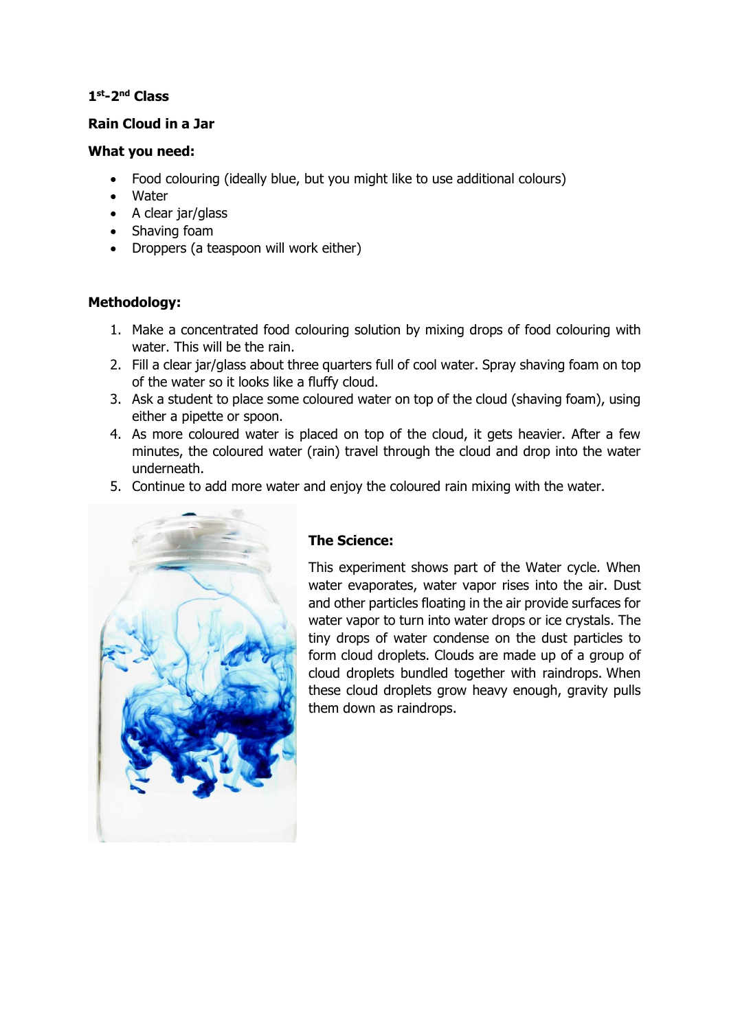## **1 st-2 nd Class**

#### **Rain Cloud in a Jar**

#### **What you need:**

- Food colouring (ideally blue, but you might like to use additional colours)
- Water
- A clear jar/glass
- Shaving foam
- Droppers (a teaspoon will work either)

## **Methodology:**

- 1. Make a concentrated food colouring solution by mixing drops of food colouring with water. This will be the rain.
- 2. Fill a clear jar/glass about three quarters full of cool water. Spray shaving foam on top of the water so it looks like a fluffy cloud.
- 3. Ask a student to place some coloured water on top of the cloud (shaving foam), using either a pipette or spoon.
- 4. As more coloured water is placed on top of the cloud, it gets heavier. After a few minutes, the coloured water (rain) travel through the cloud and drop into the water underneath.
- 5. Continue to add more water and enjoy the coloured rain mixing with the water.



# **The Science:**

This experiment shows part of the Water cycle. When water evaporates, water vapor rises into the air. Dust and other particles floating in the air provide surfaces for water vapor to turn into water drops or ice crystals. The tiny drops of water condense on the dust particles to form cloud droplets. Clouds are made up of a group of cloud droplets bundled together with raindrops. When these cloud droplets grow heavy enough, gravity pulls them down as raindrops.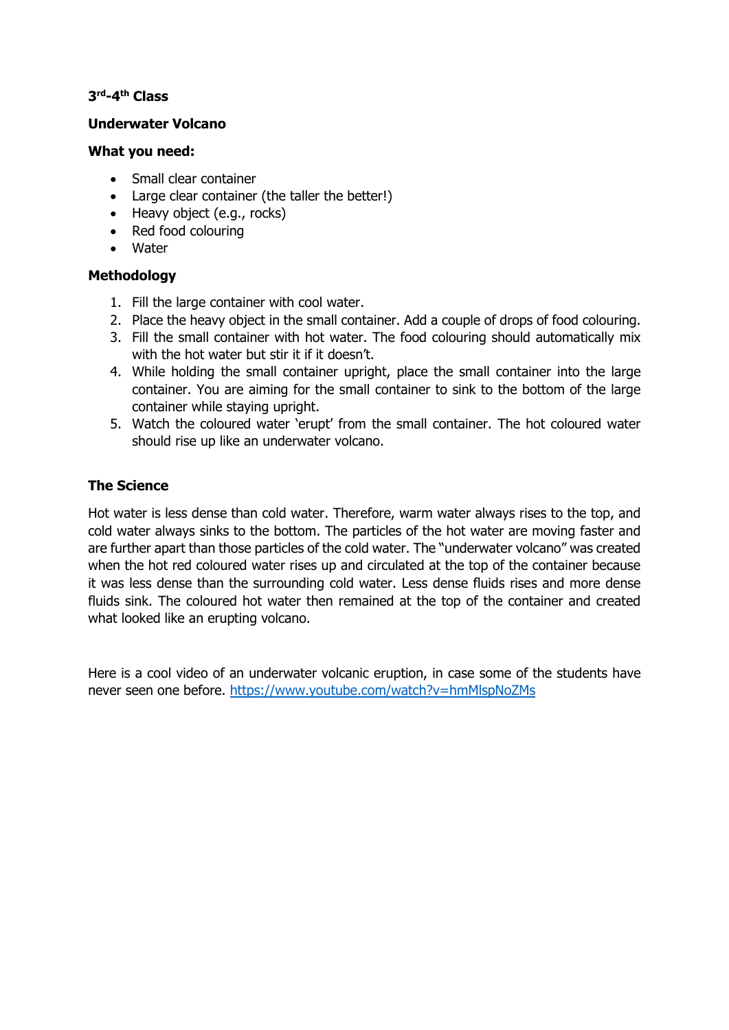## **3 rd-4 th Class**

#### **Underwater Volcano**

#### **What you need:**

- Small clear container
- Large clear container (the taller the better!)
- Heavy object (e.g., rocks)
- Red food colouring
- Water

## **Methodology**

- 1. Fill the large container with cool water.
- 2. Place the heavy object in the small container. Add a couple of drops of food colouring.
- 3. Fill the small container with hot water. The food colouring should automatically mix with the hot water but stir it if it doesn't.
- 4. While holding the small container upright, place the small container into the large container. You are aiming for the small container to sink to the bottom of the large container while staying upright.
- 5. Watch the coloured water 'erupt' from the small container. The hot coloured water should rise up like an underwater volcano.

## **The Science**

Hot water is less dense than cold water. Therefore, warm water always rises to the top, and cold water always sinks to the bottom. The particles of the hot water are moving faster and are further apart than those particles of the cold water. The "underwater volcano" was created when the hot red coloured water rises up and circulated at the top of the container because it was less dense than the surrounding cold water. Less dense fluids rises and more dense fluids sink. The coloured hot water then remained at the top of the container and created what looked like an erupting volcano.

Here is a cool video of an underwater volcanic eruption, in case some of the students have never seen one before. <https://www.youtube.com/watch?v=hmMlspNoZMs>